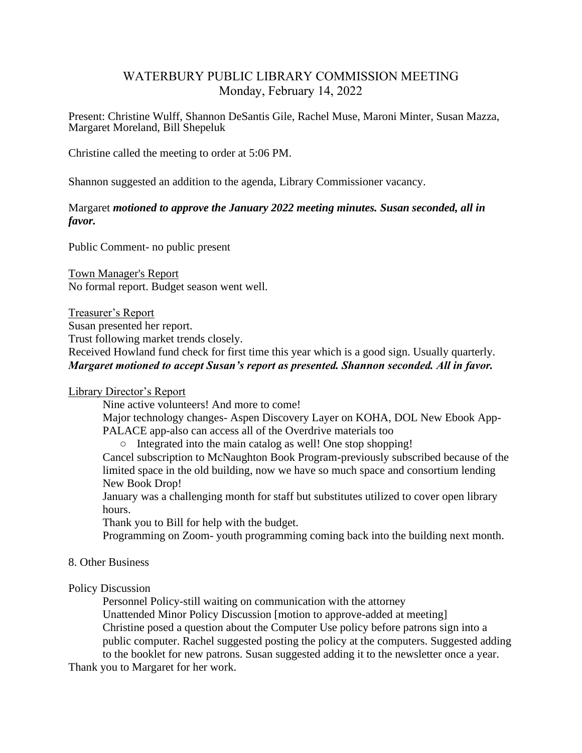# WATERBURY PUBLIC LIBRARY COMMISSION MEETING Monday, February 14, 2022

Present: Christine Wulff, Shannon DeSantis Gile, Rachel Muse, Maroni Minter, Susan Mazza, Margaret Moreland, Bill Shepeluk

Christine called the meeting to order at 5:06 PM.

Shannon suggested an addition to the agenda, Library Commissioner vacancy.

## Margaret *motioned to approve the January 2022 meeting minutes. Susan seconded, all in favor.*

Public Comment- no public present

Town Manager's Report No formal report. Budget season went well.

Treasurer's Report

Susan presented her report.

Trust following market trends closely.

Received Howland fund check for first time this year which is a good sign. Usually quarterly. *Margaret motioned to accept Susan's report as presented. Shannon seconded. All in favor.*

## Library Director's Report

Nine active volunteers! And more to come!

Major technology changes- Aspen Discovery Layer on KOHA, DOL New Ebook App-PALACE app-also can access all of the Overdrive materials too

○ Integrated into the main catalog as well! One stop shopping!

Cancel subscription to McNaughton Book Program-previously subscribed because of the limited space in the old building, now we have so much space and consortium lending New Book Drop!

January was a challenging month for staff but substitutes utilized to cover open library hours.

Thank you to Bill for help with the budget.

Programming on Zoom- youth programming coming back into the building next month.

## 8. Other Business

## Policy Discussion

Personnel Policy-still waiting on communication with the attorney Unattended Minor Policy Discussion [motion to approve-added at meeting] Christine posed a question about the Computer Use policy before patrons sign into a public computer. Rachel suggested posting the policy at the computers. Suggested adding to the booklet for new patrons. Susan suggested adding it to the newsletter once a year.

Thank you to Margaret for her work.